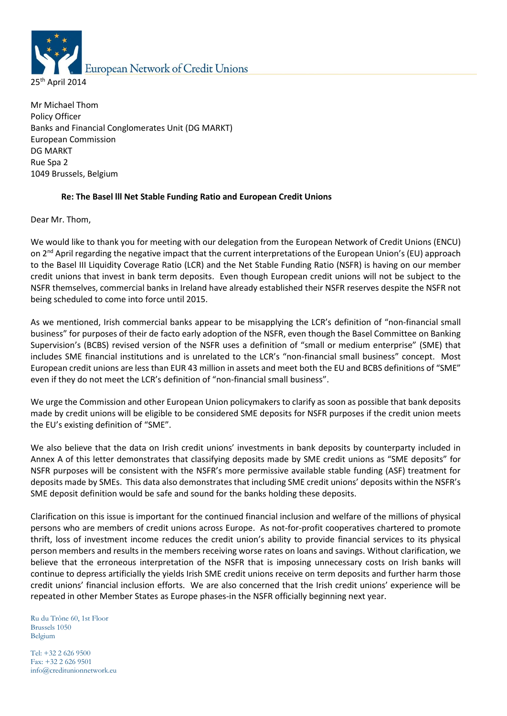

Mr Michael Thom Policy Officer Banks and Financial Conglomerates Unit (DG MARKT) European Commission DG MARKT Rue Spa 2 1049 Brussels, Belgium

### **Re: The Basel lll Net Stable Funding Ratio and European Credit Unions**

Dear Mr. Thom,

We would like to thank you for meeting with our delegation from the European Network of Credit Unions (ENCU) on 2<sup>nd</sup> April regarding the negative impact that the current interpretations of the European Union's (EU) approach to the Basel III Liquidity Coverage Ratio (LCR) and the Net Stable Funding Ratio (NSFR) is having on our member credit unions that invest in bank term deposits. Even though European credit unions will not be subject to the NSFR themselves, commercial banks in Ireland have already established their NSFR reserves despite the NSFR not being scheduled to come into force until 2015.

As we mentioned, Irish commercial banks appear to be misapplying the LCR's definition of "non-financial small business" for purposes of their de facto early adoption of the NSFR, even though the Basel Committee on Banking Supervision's (BCBS) revised version of the NSFR uses a definition of "small or medium enterprise" (SME) that includes SME financial institutions and is unrelated to the LCR's "non-financial small business" concept. Most European credit unions are less than EUR 43 million in assets and meet both the EU and BCBS definitions of "SME" even if they do not meet the LCR's definition of "non-financial small business".

We urge the Commission and other European Union policymakers to clarify as soon as possible that bank deposits made by credit unions will be eligible to be considered SME deposits for NSFR purposes if the credit union meets the EU's existing definition of "SME".

We also believe that the data on Irish credit unions' investments in bank deposits by counterparty included in Annex A of this letter demonstrates that classifying deposits made by SME credit unions as "SME deposits" for NSFR purposes will be consistent with the NSFR's more permissive available stable funding (ASF) treatment for deposits made by SMEs. This data also demonstrates that including SME credit unions' deposits within the NSFR's SME deposit definition would be safe and sound for the banks holding these deposits.

Clarification on this issue is important for the continued financial inclusion and welfare of the millions of physical persons who are members of credit unions across Europe. As not-for-profit cooperatives chartered to promote thrift, loss of investment income reduces the credit union's ability to provide financial services to its physical person members and results in the members receiving worse rates on loans and savings. Without clarification, we believe that the erroneous interpretation of the NSFR that is imposing unnecessary costs on Irish banks will continue to depress artificially the yields Irish SME credit unions receive on term deposits and further harm those credit unions' financial inclusion efforts. We are also concerned that the Irish credit unions' experience will be repeated in other Member States as Europe phases-in the NSFR officially beginning next year.

Ru du Trône 60, 1st Floor Brussels 1050 Belgium

Tel: +32 2 626 9500 Fax: +32 2 626 9501 info@creditunionnetwork.eu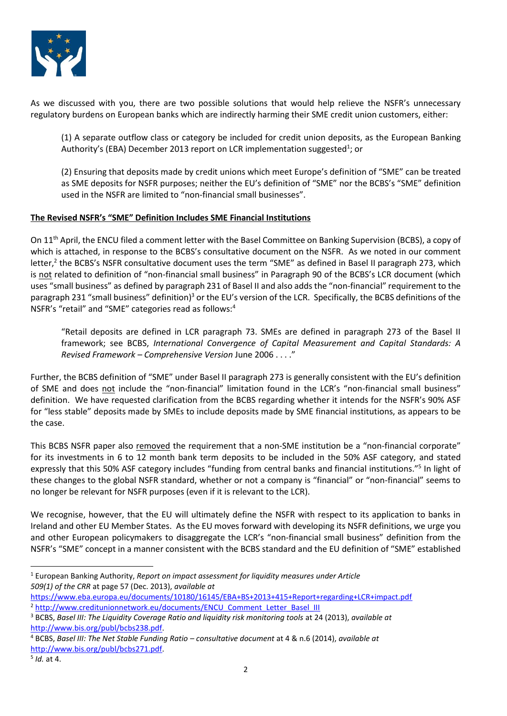

As we discussed with you, there are two possible solutions that would help relieve the NSFR's unnecessary regulatory burdens on European banks which are indirectly harming their SME credit union customers, either:

(1) A separate outflow class or category be included for credit union deposits, as the European Banking Authority's (EBA) December 2013 report on LCR implementation suggested<sup>1</sup>; or

(2) Ensuring that deposits made by credit unions which meet Europe's definition of "SME" can be treated as SME deposits for NSFR purposes; neither the EU's definition of "SME" nor the BCBS's "SME" definition used in the NSFR are limited to "non-financial small businesses".

### **The Revised NSFR's "SME" Definition Includes SME Financial Institutions**

On 11th April, the ENCU filed a comment letter with the Basel Committee on Banking Supervision (BCBS), a copy of which is attached, in response to the BCBS's consultative document on the NSFR. As we noted in our comment letter,<sup>2</sup> the BCBS's NSFR consultative document uses the term "SME" as defined in Basel II paragraph 273, which is not related to definition of "non-financial small business" in Paragraph 90 of the BCBS's LCR document (which uses "small business" as defined by paragraph 231 of Basel II and also adds the "non-financial" requirement to the paragraph 231 "small business" definition)<sup>3</sup> or the EU's version of the LCR. Specifically, the BCBS definitions of the NSFR's "retail" and "SME" categories read as follows:<sup>4</sup>

"Retail deposits are defined in LCR paragraph 73. SMEs are defined in paragraph 273 of the Basel II framework; see BCBS, *International Convergence of Capital Measurement and Capital Standards: A Revised Framework – Comprehensive Version* June 2006 . . . ."

Further, the BCBS definition of "SME" under Basel II paragraph 273 is generally consistent with the EU's definition of SME and does not include the "non-financial" limitation found in the LCR's "non-financial small business" definition. We have requested clarification from the BCBS regarding whether it intends for the NSFR's 90% ASF for "less stable" deposits made by SMEs to include deposits made by SME financial institutions, as appears to be the case.

This BCBS NSFR paper also removed the requirement that a non-SME institution be a "non-financial corporate" for its investments in 6 to 12 month bank term deposits to be included in the 50% ASF category, and stated expressly that this 50% ASF category includes "funding from central banks and financial institutions."<sup>5</sup> In light of these changes to the global NSFR standard, whether or not a company is "financial" or "non-financial" seems to no longer be relevant for NSFR purposes (even if it is relevant to the LCR).

We recognise, however, that the EU will ultimately define the NSFR with respect to its application to banks in Ireland and other EU Member States.As the EU moves forward with developing its NSFR definitions, we urge you and other European policymakers to disaggregate the LCR's "non-financial small business" definition from the NSFR's "SME" concept in a manner consistent with the BCBS standard and the EU definition of "SME" established

<sup>1</sup> European Banking Authority, *Report on impact assessment for liquidity measures under Article 509(1) of the CRR* at page 57 (Dec. 2013), *available at* 

1

<https://www.eba.europa.eu/documents/10180/16145/EBA+BS+2013+415+Report+regarding+LCR+impact.pdf> <sup>2</sup> http://www.creditunionnetwork.eu/documents/ENCU\_Comment\_Letter\_Basel\_III

<sup>3</sup> BCBS, *Basel III: The Liquidity Coverage Ratio and liquidity risk monitoring tools* at 24 (2013), *available at*  [http://www.bis.org/publ/bcbs238.pdf.](http://www.bis.org/publ/bcbs238.pdf)

<sup>4</sup> BCBS, *Basel III: The Net Stable Funding Ratio – consultative document* at 4 & n.6 (2014), *available at*  [http://www.bis.org/publ/bcbs271.pdf.](http://www.bis.org/publ/bcbs271.pdf)

<sup>5</sup> *Id.* at 4.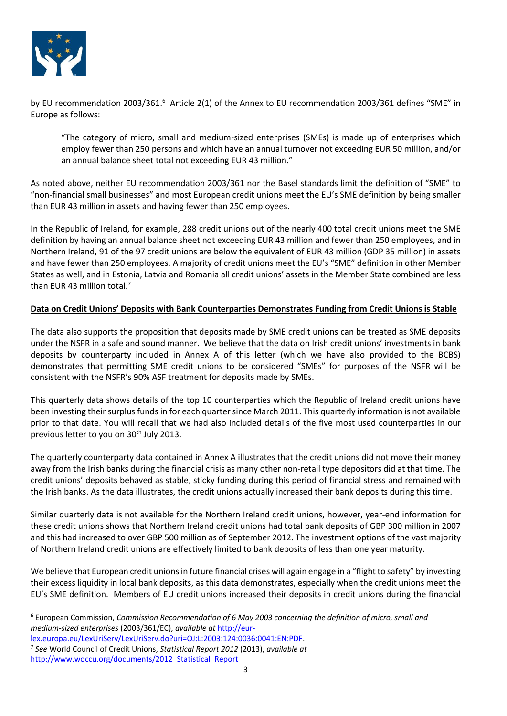

1

by EU recommendation 2003/361.<sup>6</sup> Article 2(1) of the Annex to EU recommendation 2003/361 defines "SME" in Europe as follows:

"The category of micro, small and medium-sized enterprises (SMEs) is made up of enterprises which employ fewer than 250 persons and which have an annual turnover not exceeding EUR 50 million, and/or an annual balance sheet total not exceeding EUR 43 million."

As noted above, neither EU recommendation 2003/361 nor the Basel standards limit the definition of "SME" to "non-financial small businesses" and most European credit unions meet the EU's SME definition by being smaller than EUR 43 million in assets and having fewer than 250 employees.

In the Republic of Ireland, for example, 288 credit unions out of the nearly 400 total credit unions meet the SME definition by having an annual balance sheet not exceeding EUR 43 million and fewer than 250 employees, and in Northern Ireland, 91 of the 97 credit unions are below the equivalent of EUR 43 million (GDP 35 million) in assets and have fewer than 250 employees. A majority of credit unions meet the EU's "SME" definition in other Member States as well, and in Estonia, Latvia and Romania all credit unions' assets in the Member State combined are less than EUR 43 million total.<sup>7</sup>

## **Data on Credit Unions' Deposits with Bank Counterparties Demonstrates Funding from Credit Unions is Stable**

The data also supports the proposition that deposits made by SME credit unions can be treated as SME deposits under the NSFR in a safe and sound manner. We believe that the data on Irish credit unions' investments in bank deposits by counterparty included in Annex A of this letter (which we have also provided to the BCBS) demonstrates that permitting SME credit unions to be considered "SMEs" for purposes of the NSFR will be consistent with the NSFR's 90% ASF treatment for deposits made by SMEs.

This quarterly data shows details of the top 10 counterparties which the Republic of Ireland credit unions have been investing their surplus funds in for each quarter since March 2011. This quarterly information is not available prior to that date. You will recall that we had also included details of the five most used counterparties in our previous letter to you on 30<sup>th</sup> July 2013.

The quarterly counterparty data contained in Annex A illustrates that the credit unions did not move their money away from the Irish banks during the financial crisis as many other non-retail type depositors did at that time. The credit unions' deposits behaved as stable, sticky funding during this period of financial stress and remained with the Irish banks. As the data illustrates, the credit unions actually increased their bank deposits during this time.

Similar quarterly data is not available for the Northern Ireland credit unions, however, year-end information for these credit unions shows that Northern Ireland credit unions had total bank deposits of GBP 300 million in 2007 and this had increased to over GBP 500 million as of September 2012. The investment options of the vast majority of Northern Ireland credit unions are effectively limited to bank deposits of less than one year maturity.

We believe that European credit unions in future financial crises will again engage in a "flight to safety" by investing their excess liquidity in local bank deposits, as this data demonstrates, especially when the credit unions meet the EU's SME definition. Members of EU credit unions increased their deposits in credit unions during the financial

<sup>6</sup> European Commission, *Commission Recommendation of 6 May 2003 concerning the definition of micro, small and medium-sized enterprises* (2003/361/EC), *available at* [http://eur-](http://eur-lex.europa.eu/LexUriServ/LexUriServ.do?uri=OJ:L:2003:124:0036:0041:EN:PDF)

[lex.europa.eu/LexUriServ/LexUriServ.do?uri=OJ:L:2003:124:0036:0041:EN:PDF.](http://eur-lex.europa.eu/LexUriServ/LexUriServ.do?uri=OJ:L:2003:124:0036:0041:EN:PDF)

<sup>7</sup> *See* World Council of Credit Unions, *Statistical Report 2012* (2013), *available at*  http://www.woccu.org/documents/2012 Statistical Report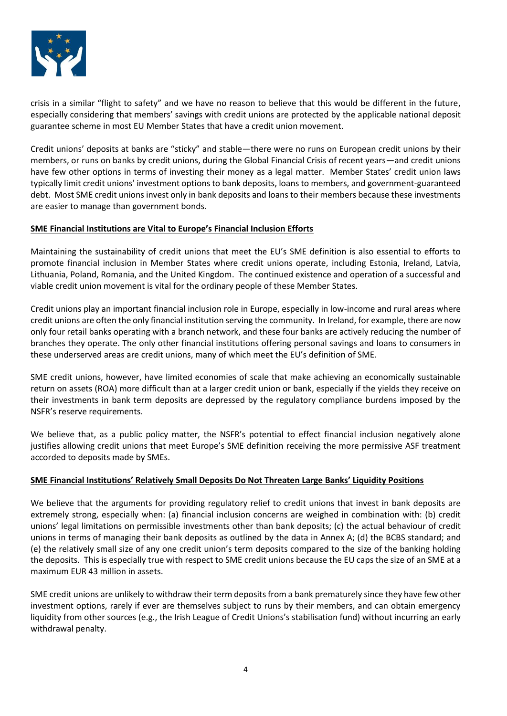

crisis in a similar "flight to safety" and we have no reason to believe that this would be different in the future, especially considering that members' savings with credit unions are protected by the applicable national deposit guarantee scheme in most EU Member States that have a credit union movement.

Credit unions' deposits at banks are "sticky" and stable—there were no runs on European credit unions by their members, or runs on banks by credit unions, during the Global Financial Crisis of recent years—and credit unions have few other options in terms of investing their money as a legal matter. Member States' credit union laws typically limit credit unions' investment options to bank deposits, loans to members, and government-guaranteed debt. Most SME credit unions invest only in bank deposits and loans to their members because these investments are easier to manage than government bonds.

### **SME Financial Institutions are Vital to Europe's Financial Inclusion Efforts**

Maintaining the sustainability of credit unions that meet the EU's SME definition is also essential to efforts to promote financial inclusion in Member States where credit unions operate, including Estonia, Ireland, Latvia, Lithuania, Poland, Romania, and the United Kingdom. The continued existence and operation of a successful and viable credit union movement is vital for the ordinary people of these Member States.

Credit unions play an important financial inclusion role in Europe, especially in low-income and rural areas where credit unions are often the only financial institution serving the community. In Ireland, for example, there are now only four retail banks operating with a branch network, and these four banks are actively reducing the number of branches they operate. The only other financial institutions offering personal savings and loans to consumers in these underserved areas are credit unions, many of which meet the EU's definition of SME.

SME credit unions, however, have limited economies of scale that make achieving an economically sustainable return on assets (ROA) more difficult than at a larger credit union or bank, especially if the yields they receive on their investments in bank term deposits are depressed by the regulatory compliance burdens imposed by the NSFR's reserve requirements.

We believe that, as a public policy matter, the NSFR's potential to effect financial inclusion negatively alone justifies allowing credit unions that meet Europe's SME definition receiving the more permissive ASF treatment accorded to deposits made by SMEs.

#### **SME Financial Institutions' Relatively Small Deposits Do Not Threaten Large Banks' Liquidity Positions**

We believe that the arguments for providing regulatory relief to credit unions that invest in bank deposits are extremely strong, especially when: (a) financial inclusion concerns are weighed in combination with: (b) credit unions' legal limitations on permissible investments other than bank deposits; (c) the actual behaviour of credit unions in terms of managing their bank deposits as outlined by the data in Annex A; (d) the BCBS standard; and (e) the relatively small size of any one credit union's term deposits compared to the size of the banking holding the deposits. This is especially true with respect to SME credit unions because the EU caps the size of an SME at a maximum EUR 43 million in assets.

SME credit unions are unlikely to withdraw their term deposits from a bank prematurely since they have few other investment options, rarely if ever are themselves subject to runs by their members, and can obtain emergency liquidity from other sources (e.g., the Irish League of Credit Unions's stabilisation fund) without incurring an early withdrawal penalty.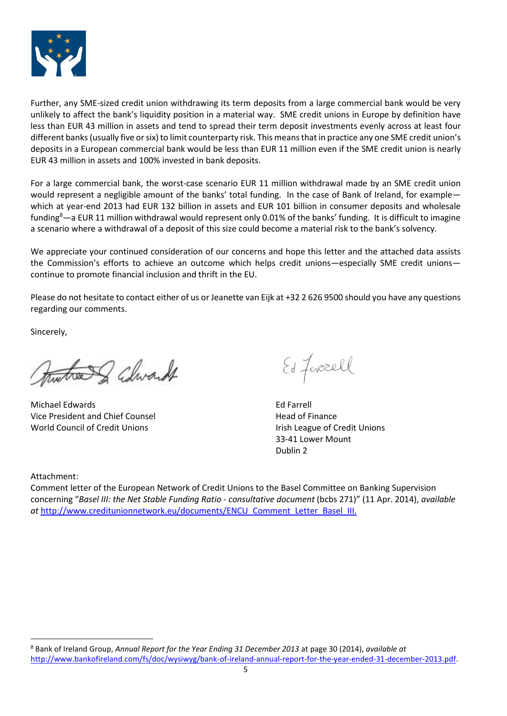

Further, any SME-sized credit union withdrawing its term deposits from a large commercial bank would be very unlikely to affect the bank's liquidity position in a material way. SME credit unions in Europe by definition have less than EUR 43 million in assets and tend to spread their term deposit investments evenly across at least four different banks (usually five or six) to limit counterparty risk. This means that in practice any one SME credit union's deposits in a European commercial bank would be less than EUR 11 million even if the SME credit union is nearly EUR 43 million in assets and 100% invested in bank deposits.

For a large commercial bank, the worst-case scenario EUR 11 million withdrawal made by an SME credit union would represent a negligible amount of the banks' total funding. In the case of Bank of Ireland, for example which at year-end 2013 had EUR 132 billion in assets and EUR 101 billion in consumer deposits and wholesale funding<sup>8</sup>—a EUR 11 million withdrawal would represent only 0.01% of the banks' funding. It is difficult to imagine a scenario where a withdrawal of a deposit of this size could become a material risk to the bank's solvency.

We appreciate your continued consideration of our concerns and hope this letter and the attached data assists the Commission's efforts to achieve an outcome which helps credit unions—especially SME credit unions continue to promote financial inclusion and thrift in the EU.

Please do not hesitate to contact either of us or Jeanette van Eijk at +32 2 626 9500 should you have any questions regarding our comments.

Sincerely,

the I Churcht

Michael Edwards **Edge Edwards** Ed Farrell Vice President and Chief Counsel **Head of Finance** World Council of Credit Unions **Internal Council of Credit Unions** Irish League of Credit Unions

Ed Forcell

33-41 Lower Mount Dublin 2

Attachment:

1

Comment letter of the European Network of Credit Unions to the Basel Committee on Banking Supervision concerning "*Basel III: the Net Stable Funding Ratio - consultative document* (bcbs 271)" (11 Apr. 2014), *available at* [http://www.creditunionnetwork.eu/documents/ENCU\\_Comment\\_Letter\\_Basel\\_III.](http://www.creditunionnetwork.eu/documents/ENCU_Comment_Letter_Basel_III)

<sup>8</sup> Bank of Ireland Group, *Annual Report for the Year Ending 31 December 2013* at page 30 (2014), *available at* [http://www.bankofireland.com/fs/doc/wysiwyg/bank-of-ireland-annual-report-for-the-year-ended-31-december-2013.pdf.](http://www.bankofireland.com/fs/doc/wysiwyg/bank-of-ireland-annual-report-for-the-year-ended-31-december-2013.pdf)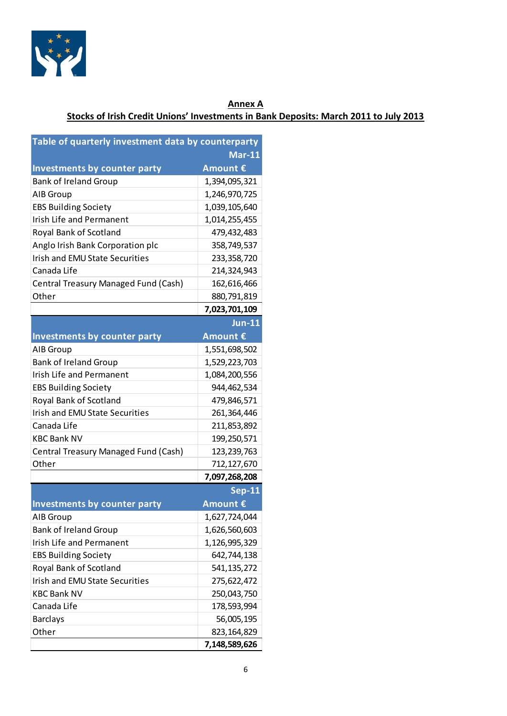

# **Annex A Stocks of Irish Credit Unions' Investments in Bank Deposits: March 2011 to July 2013**

| Table of quarterly investment data by counterparty |               |
|----------------------------------------------------|---------------|
|                                                    | <b>Mar-11</b> |
| Investments by counter party                       | Amount €      |
| <b>Bank of Ireland Group</b>                       | 1,394,095,321 |
| AIB Group                                          | 1,246,970,725 |
| <b>EBS Building Society</b>                        | 1,039,105,640 |
| Irish Life and Permanent                           | 1,014,255,455 |
| Royal Bank of Scotland                             | 479,432,483   |
| Anglo Irish Bank Corporation plc                   | 358,749,537   |
| <b>Irish and EMU State Securities</b>              | 233, 358, 720 |
| Canada Life                                        | 214,324,943   |
| Central Treasury Managed Fund (Cash)               | 162,616,466   |
| Other                                              | 880,791,819   |
|                                                    | 7,023,701,109 |
|                                                    | $Jun-11$      |
| <b>Investments by counter party</b>                | Amount €      |
| AIB Group                                          | 1,551,698,502 |
| <b>Bank of Ireland Group</b>                       | 1,529,223,703 |
| Irish Life and Permanent                           | 1,084,200,556 |
| <b>EBS Building Society</b>                        | 944,462,534   |
| Royal Bank of Scotland                             | 479,846,571   |
| <b>Irish and EMU State Securities</b>              | 261,364,446   |
| Canada Life                                        | 211,853,892   |
| <b>KBC Bank NV</b>                                 | 199,250,571   |
| Central Treasury Managed Fund (Cash)               | 123,239,763   |
| Other                                              | 712,127,670   |
|                                                    | 7,097,268,208 |
|                                                    | <b>Sep-11</b> |
| <b>Investments by counter party</b>                | Amount €      |
| AIB Group                                          | 1,627,724,044 |
| <b>Bank of Ireland Group</b>                       | 1,626,560,603 |
| <b>Irish Life and Permanent</b>                    | 1,126,995,329 |
| <b>EBS Building Society</b>                        | 642,744,138   |
| Royal Bank of Scotland                             | 541, 135, 272 |
| <b>Irish and EMU State Securities</b>              | 275,622,472   |
| <b>KBC Bank NV</b>                                 | 250,043,750   |
| Canada Life                                        | 178,593,994   |
| <b>Barclays</b>                                    | 56,005,195    |
| Other                                              | 823, 164, 829 |
|                                                    | 7,148,589,626 |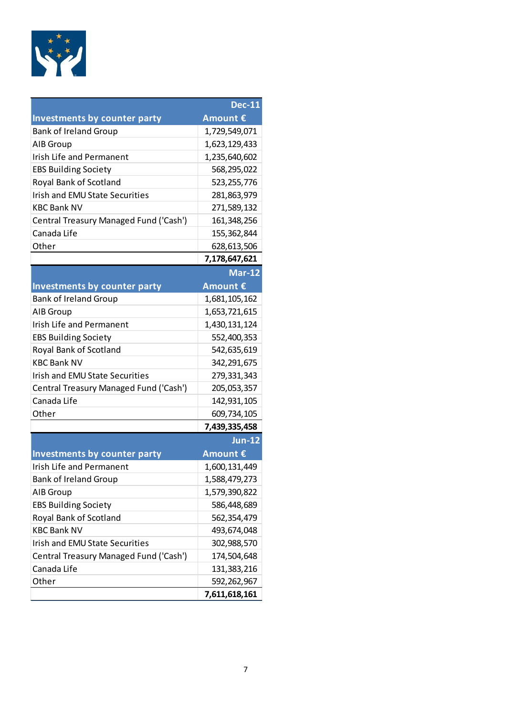

|                                        | <b>Dec-11</b> |
|----------------------------------------|---------------|
| <b>Investments by counter party</b>    | Amount €      |
| <b>Bank of Ireland Group</b>           | 1,729,549,071 |
| AIB Group                              | 1,623,129,433 |
| <b>Irish Life and Permanent</b>        | 1,235,640,602 |
| <b>EBS Building Society</b>            | 568,295,022   |
| Royal Bank of Scotland                 | 523,255,776   |
| <b>Irish and EMU State Securities</b>  | 281,863,979   |
| <b>KBC Bank NV</b>                     | 271,589,132   |
| Central Treasury Managed Fund ('Cash') | 161,348,256   |
| Canada Life                            | 155,362,844   |
| Other                                  | 628,613,506   |
|                                        | 7,178,647,621 |
|                                        | <b>Mar-12</b> |
| <b>Investments by counter party</b>    | Amount €      |
| <b>Bank of Ireland Group</b>           | 1,681,105,162 |
| AIB Group                              | 1,653,721,615 |
| <b>Irish Life and Permanent</b>        | 1,430,131,124 |
| <b>EBS Building Society</b>            | 552,400,353   |
| Royal Bank of Scotland                 | 542,635,619   |
| <b>KBC Bank NV</b>                     | 342,291,675   |
| <b>Irish and EMU State Securities</b>  | 279,331,343   |
| Central Treasury Managed Fund ('Cash') | 205,053,357   |
| Canada Life                            | 142,931,105   |
| Other                                  | 609,734,105   |
|                                        | 7,439,335,458 |
|                                        | <b>Jun-12</b> |
| Investments by counter party           | Amount €      |
| Irish Life and Permanent               | 1,600,131,449 |
| <b>Bank of Ireland Group</b>           | 1,588,479,273 |
| AIB Group                              | 1,579,390,822 |
| <b>EBS Building Society</b>            | 586,448,689   |
| Royal Bank of Scotland                 | 562,354,479   |
| <b>KBC Bank NV</b>                     | 493,674,048   |
| <b>Irish and EMU State Securities</b>  | 302,988,570   |
| Central Treasury Managed Fund ('Cash') | 174,504,648   |
| Canada Life                            | 131,383,216   |
| Other                                  | 592,262,967   |
|                                        | 7,611,618,161 |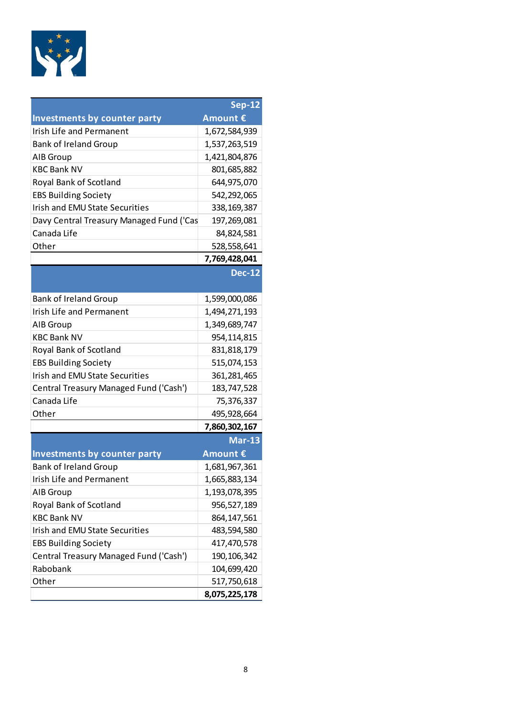

|                                          | <b>Sep-12</b> |
|------------------------------------------|---------------|
| <b>Investments by counter party</b>      | Amount €      |
| <b>Irish Life and Permanent</b>          | 1,672,584,939 |
| <b>Bank of Ireland Group</b>             | 1,537,263,519 |
| AIB Group                                | 1,421,804,876 |
| <b>KBC Bank NV</b>                       | 801,685,882   |
| Royal Bank of Scotland                   | 644,975,070   |
| <b>EBS Building Society</b>              | 542,292,065   |
| <b>Irish and EMU State Securities</b>    | 338, 169, 387 |
| Davy Central Treasury Managed Fund ('Cas | 197,269,081   |
| Canada Life                              | 84,824,581    |
| Other                                    | 528,558,641   |
|                                          | 7,769,428,041 |
|                                          | <b>Dec-12</b> |
|                                          |               |
| <b>Bank of Ireland Group</b>             | 1,599,000,086 |
| <b>Irish Life and Permanent</b>          | 1,494,271,193 |
| AIB Group                                | 1,349,689,747 |
| <b>KBC Bank NV</b>                       | 954,114,815   |
| Royal Bank of Scotland                   | 831,818,179   |
| <b>EBS Building Society</b>              | 515,074,153   |
| <b>Irish and EMU State Securities</b>    | 361, 281, 465 |
| Central Treasury Managed Fund ('Cash')   | 183,747,528   |
| Canada Life                              | 75,376,337    |
| Other                                    | 495,928,664   |
|                                          | 7,860,302,167 |
|                                          | <b>Mar-13</b> |
| <b>Investments by counter party</b>      | Amount €      |
| <b>Bank of Ireland Group</b>             | 1,681,967,361 |
| Irish Life and Permanent                 | 1,665,883,134 |
| AIB Group                                | 1,193,078,395 |
| Royal Bank of Scotland                   | 956,527,189   |
| <b>KBC Bank NV</b>                       | 864, 147, 561 |
| <b>Irish and EMU State Securities</b>    | 483,594,580   |
| <b>EBS Building Society</b>              | 417,470,578   |
| Central Treasury Managed Fund ('Cash')   | 190, 106, 342 |
| Rabobank                                 | 104,699,420   |
| Other                                    | 517,750,618   |
|                                          | 8,075,225,178 |